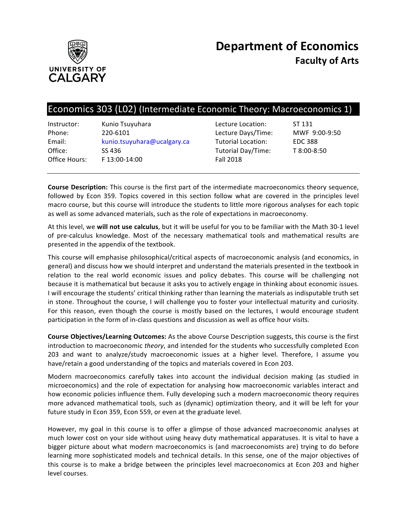

# Economics 303 (L02) (Intermediate Economic Theory: Macroeconomics 1)

| Instructor:   | Kunio Tsuyuhara             |
|---------------|-----------------------------|
| Phone:        | 220-6101                    |
| Email:        | kunio.tsuyuhara@ucalgary.ca |
| Office:       | SS 436                      |
| Office Hours: | F 13:00-14:00               |
|               |                             |

Lecture Location: ST 131 Lecture Days/Time: MWF 9:00-9:50 Tutorial Location: EDC 388 Tutorial Day/Time: T 8:00-8:50 **Fall 2018** 

**Course Description:** This course is the first part of the intermediate macroeconomics theory sequence, followed by Econ 359. Topics covered in this section follow what are covered in the principles level macro course, but this course will introduce the students to little more rigorous analyses for each topic as well as some advanced materials, such as the role of expectations in macroeconomy.

At this level, we will not use calculus, but it will be useful for you to be familiar with the Math 30-1 level of pre-calculus knowledge. Most of the necessary mathematical tools and mathematical results are presented in the appendix of the textbook.

This course will emphasise philosophical/critical aspects of macroeconomic analysis (and economics, in general) and discuss how we should interpret and understand the materials presented in the textbook in relation to the real world economic issues and policy debates. This course will be challenging not because it is mathematical but because it asks you to actively engage in thinking about economic issues. I will encourage the students' critical thinking rather than learning the materials as indisputable truth set in stone. Throughout the course, I will challenge you to foster your intellectual maturity and curiosity. For this reason, even though the course is mostly based on the lectures, I would encourage student participation in the form of in-class questions and discussion as well as office hour visits.

**Course Objectives/Learning Outcomes:** As the above Course Description suggests, this course is the first introduction to macroeconomic *theory*, and intended for the students who successfully completed Econ 203 and want to analyze/study macroeconomic issues at a higher level. Therefore, I assume you have/retain a good understanding of the topics and materials covered in Econ 203.

Modern macroeconomics carefully takes into account the individual decision making (as studied in microeconomics) and the role of expectation for analysing how macroeconomic variables interact and how economic policies influence them. Fully developing such a modern macroeconomic theory requires more advanced mathematical tools, such as (dynamic) optimization theory, and it will be left for your future study in Econ 359, Econ 559, or even at the graduate level.

However, my goal in this course is to offer a glimpse of those advanced macroeconomic analyses at much lower cost on your side without using heavy duty mathematical apparatuses. It is vital to have a bigger picture about what modern macroeconomics is (and macroeconomists are) trying to do before learning more sophisticated models and technical details. In this sense, one of the major objectives of this course is to make a bridge between the principles level macroeconomics at Econ 203 and higher level courses.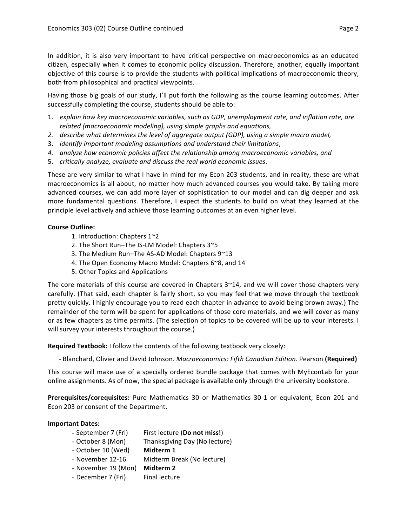In addition, it is also very important to have critical perspective on macroeconomics as an educated citizen, especially when it comes to economic policy discussion. Therefore, another, equally important objective of this course is to provide the students with political implications of macroeconomic theory, both from philosophical and practical viewpoints.

Having those big goals of our study, I'll put forth the following as the course learning outcomes. After successfully completing the course, students should be able to:

- 1. explain how key macroeconomic variables, such as GDP, unemployment rate, and inflation rate, are *related (macroeconomic modeling), using simple graphs and equations,*
- 2. *describe what determines the level of aggregate output (GDP), using a simple macro model,*
- 3. *identify important modeling assumptions and understand their limitations*,
- *4. analyze how economic policies affect the relationship among macroeconomic variables, and*
- 5. *critically analyze, evaluate and discuss the real world economic issues.*

These are very similar to what I have in mind for my Econ 203 students, and in reality, these are what macroeconomics is all about, no matter how much advanced courses you would take. By taking more advanced courses, we can add more layer of sophistication to our model and can dig deeper and ask more fundamental questions. Therefore, I expect the students to build on what they learned at the principle level actively and achieve those learning outcomes at an even higher level.

### **Course Outline:**

- 1. Introduction: Chapters  $1^{\sim}2$
- 2. The Short Run-The IS-LM Model: Chapters 3~5
- 3. The Medium Run–The AS-AD Model: Chapters  $9^{\sim}13$
- 4. The Open Economy Macro Model: Chapters 6~8, and 14
- 5. Other Topics and Applications

The core materials of this course are covered in Chapters  $3^{\sim}14$ , and we will cover those chapters very carefully. (That said, each chapter is fairly short, so you may feel that we move through the textbook pretty quickly. I highly encourage you to read each chapter in advance to avoid being brown away.) The remainder of the term will be spent for applications of those core materials, and we will cover as many or as few chapters as time permits. (The selection of topics to be covered will be up to your interests. I will survey your interests throughout the course.)

**Required Textbook:** I follow the contents of the following textbook very closely:

- Blanchard, Olivier and David Johnson. *Macroeconomics: Fifth Canadian Edition*. Pearson (Required)

This course will make use of a specially ordered bundle package that comes with MyEconLab for your online assignments. As of now, the special package is available only through the university bookstore.

**Prerequisites/corequisites:** Pure Mathematics 30 or Mathematics 30-1 or equivalent; Econ 201 and Econ 203 or consent of the Department.

## **Important Dates:**

- September 7 (Fri) First lecture (**Do not miss!**)
- October 8 (Mon) Thanksgiving Day (No lecture)
- October 10 (Wed) Midterm 1
- November 12-16 Midterm Break (No lecture)
- November 19 (Mon) **Midterm 2**
- December 7 (Fri) Final lecture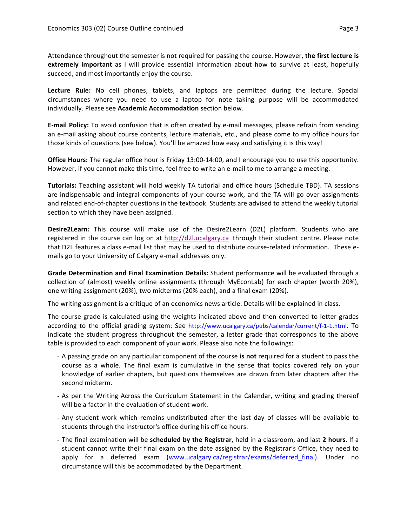Attendance throughout the semester is not required for passing the course. However, the first lecture is **extremely important** as I will provide essential information about how to survive at least, hopefully succeed, and most importantly enjoy the course.

Lecture Rule: No cell phones, tablets, and laptops are permitted during the lecture. Special circumstances where you need to use a laptop for note taking purpose will be accommodated individually. Please see **Academic Accommodation** section below.

**E-mail Policy:** To avoid confusion that is often created by e-mail messages, please refrain from sending an e-mail asking about course contents, lecture materials, etc., and please come to my office hours for those kinds of questions (see below). You'll be amazed how easy and satisfying it is this way!

**Office Hours:** The regular office hour is Friday 13:00-14:00, and I encourage you to use this opportunity. However, if you cannot make this time, feel free to write an e-mail to me to arrange a meeting.

**Tutorials:** Teaching assistant will hold weekly TA tutorial and office hours (Schedule TBD). TA sessions are indispensable and integral components of your course work, and the TA will go over assignments and related end-of-chapter questions in the textbook. Students are advised to attend the weekly tutorial section to which they have been assigned.

**Desire2Learn:** This course will make use of the Desire2Learn (D2L) platform. Students who are registered in the course can log on at http://d2l.ucalgary.ca through their student centre. Please note that D2L features a class e-mail list that may be used to distribute course-related information. These emails go to your University of Calgary e-mail addresses only.

Grade Determination and Final Examination Details: Student performance will be evaluated through a collection of (almost) weekly online assignments (through MyEconLab) for each chapter (worth 20%), one writing assignment (20%), two midterms (20% each), and a final exam (20%).

The writing assignment is a critique of an economics news article. Details will be explained in class.

The course grade is calculated using the weights indicated above and then converted to letter grades according to the official grading system: See http://www.ucalgary.ca/pubs/calendar/current/f-1-1.html. To indicate the student progress throughout the semester, a letter grade that corresponds to the above table is provided to each component of your work. Please also note the followings:

- A passing grade on any particular component of the course is not required for a student to pass the course as a whole. The final exam is cumulative in the sense that topics covered rely on your knowledge of earlier chapters, but questions themselves are drawn from later chapters after the second midterm.
- As per the Writing Across the Curriculum Statement in the Calendar, writing and grading thereof will be a factor in the evaluation of student work.
- Any student work which remains undistributed after the last day of classes will be available to students through the instructor's office during his office hours.
- The final examination will be **scheduled by the Registrar**, held in a classroom, and last 2 hours. If a student cannot write their final exam on the date assigned by the Registrar's Office, they need to apply for a deferred exam (www.ucalgary.ca/registrar/exams/deferred final). Under no circumstance will this be accommodated by the Department.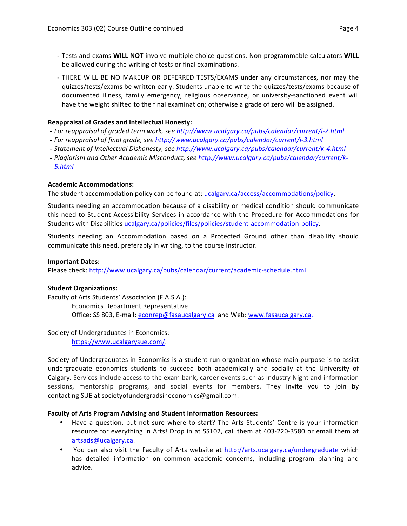- Tests and exams **WILL NOT** involve multiple choice questions. Non-programmable calculators **WILL** be allowed during the writing of tests or final examinations.
- THERE WILL BE NO MAKEUP OR DEFERRED TESTS/EXAMS under any circumstances, nor may the quizzes/tests/exams be written early. Students unable to write the quizzes/tests/exams because of documented illness, family emergency, religious observance, or university-sanctioned event will have the weight shifted to the final examination; otherwise a grade of zero will be assigned.

## **Reappraisal of Grades and Intellectual Honesty:**

- For reappraisal of graded term work, see http://www.ucalgary.ca/pubs/calendar/current/i-2.html
- For reappraisal of final grade, see http://www.ucalgary.ca/pubs/calendar/current/i-3.html
- Statement of Intellectual Dishonesty, see http://www.ucalgary.ca/pubs/calendar/current/k-4.html
- Plagiarism and Other Academic Misconduct, see http://www.ucalgary.ca/pubs/calendar/current/k-*5.html*

## **Academic Accommodations:**

The student accommodation policy can be found at: ucalgary.ca/access/accommodations/policy.

Students needing an accommodation because of a disability or medical condition should communicate this need to Student Accessibility Services in accordance with the Procedure for Accommodations for Students with Disabilities ucalgary.ca/policies/files/policies/student-accommodation-policy.

Students needing an Accommodation based on a Protected Ground other than disability should communicate this need, preferably in writing, to the course instructor.

#### **Important Dates:**

Please check: http://www.ucalgary.ca/pubs/calendar/current/academic-schedule.html

#### **Student Organizations:**

Faculty of Arts Students' Association (F.A.S.A.): Economics Department Representative Office: SS 803, E-mail: econrep@fasaucalgary.ca and Web: www.fasaucalgary.ca.

Society of Undergraduates in Economics:

https://www.ucalgarysue.com/.

Society of Undergraduates in Economics is a student run organization whose main purpose is to assist undergraduate economics students to succeed both academically and socially at the University of Calgary. Services include access to the exam bank, career events such as Industry Night and information sessions, mentorship programs, and social events for members. They invite you to join by contacting SUE at societyofundergradsineconomics@gmail.com.

#### **Faculty of Arts Program Advising and Student Information Resources:**

- Have a question, but not sure where to start? The Arts Students' Centre is your information resource for everything in Arts! Drop in at SS102, call them at 403-220-3580 or email them at artsads@ucalgary.ca.
- You can also visit the Faculty of Arts website at http://arts.ucalgary.ca/undergraduate which has detailed information on common academic concerns, including program planning and advice.